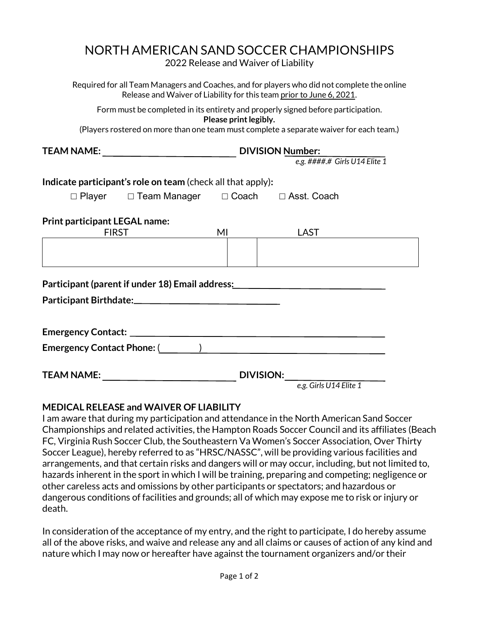# NORTH AMERICAN SAND SOCCER CHAMPIONSHIPS

2022 Release and Waiver of Liability

Required for all Team Managers and Coaches, and for players who did not complete the online Release and Waiver of Liability for this team prior to June 6, 2021.

Form must be completed in its entirety and properly signed before participation. **Please print legibly.**

(Players rostered on more than one team must complete a separate waiver for each team.)

|                                                             | <b>DIVISION Number:</b>                                                                                                                                                                                                        |                                                                                                                |                                                                                                                |  |  |
|-------------------------------------------------------------|--------------------------------------------------------------------------------------------------------------------------------------------------------------------------------------------------------------------------------|----------------------------------------------------------------------------------------------------------------|----------------------------------------------------------------------------------------------------------------|--|--|
|                                                             |                                                                                                                                                                                                                                |                                                                                                                | e.g. ####.# Girls U14 Elite 1                                                                                  |  |  |
| Indicate participant's role on team (check all that apply): |                                                                                                                                                                                                                                |                                                                                                                |                                                                                                                |  |  |
|                                                             | □ Player □ Team Manager □ Coach □ Asst. Coach                                                                                                                                                                                  |                                                                                                                |                                                                                                                |  |  |
| <b>Print participant LEGAL name:</b><br><b>FIRST</b>        |                                                                                                                                                                                                                                | MI and the state of the state of the state of the state of the state of the state of the state of the state of | LAST                                                                                                           |  |  |
|                                                             |                                                                                                                                                                                                                                |                                                                                                                |                                                                                                                |  |  |
|                                                             |                                                                                                                                                                                                                                |                                                                                                                |                                                                                                                |  |  |
|                                                             |                                                                                                                                                                                                                                |                                                                                                                | Participant (parent if under 18) Email address: ________________________________                               |  |  |
|                                                             |                                                                                                                                                                                                                                |                                                                                                                |                                                                                                                |  |  |
|                                                             |                                                                                                                                                                                                                                |                                                                                                                |                                                                                                                |  |  |
|                                                             |                                                                                                                                                                                                                                |                                                                                                                |                                                                                                                |  |  |
|                                                             |                                                                                                                                                                                                                                |                                                                                                                | Emergency Contact Phone: (Calcular Contract Phone: (Calcular Contract Phone: (Calcular Contract Contract Contr |  |  |
|                                                             |                                                                                                                                                                                                                                |                                                                                                                |                                                                                                                |  |  |
|                                                             | TEAM NAME: University of the contract of the contract of the contract of the contract of the contract of the contract of the contract of the contract of the contract of the contract of the contract of the contract of the c |                                                                                                                | <b>DIVISION:</b>                                                                                               |  |  |
|                                                             |                                                                                                                                                                                                                                |                                                                                                                | e.g. Girls U14 Elite 1                                                                                         |  |  |

#### **MEDICAL RELEASE and WAIVER OF LIABILITY**

I am aware that during my participation and attendance in the North American Sand Soccer Championships and related activities, the Hampton Roads Soccer Council and its affiliates (Beach FC, Virginia Rush Soccer Club, the Southeastern Va Women's Soccer Association, Over Thirty Soccer League), hereby referred to as "HRSC/NASSC", will be providing various facilities and arrangements, and that certain risks and dangers will or may occur, including, but not limited to, hazards inherent in the sport in which I will be training, preparing and competing; negligence or other careless acts and omissions by other participants or spectators; and hazardous or dangerous conditions of facilities and grounds; all of which may expose me to risk or injury or death.

In consideration of the acceptance of my entry, and the right to participate, I do hereby assume all of the above risks, and waive and release any and all claims or causes of action of any kind and nature which I may now or hereafter have against the tournament organizers and/or their